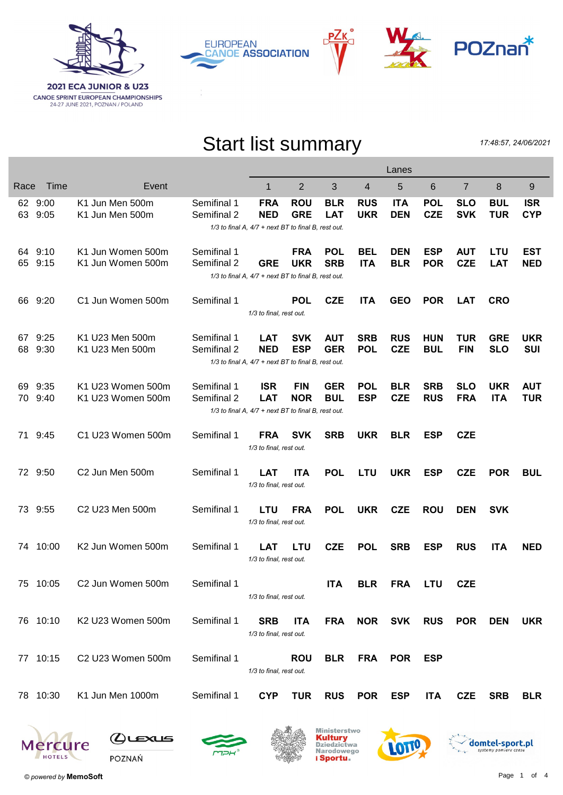

**EUROPEAN CANOE ASSOCIATION** 



## Start list summary

P∠k

17:48:57, 24/06/2021

|          |                    |                                        |                            | Lanes                                                                           |                          |                          |                          |                          |                          |                          |                          |                          |
|----------|--------------------|----------------------------------------|----------------------------|---------------------------------------------------------------------------------|--------------------------|--------------------------|--------------------------|--------------------------|--------------------------|--------------------------|--------------------------|--------------------------|
| Race     | Time               | Event                                  |                            | 1                                                                               | $\overline{2}$           | 3                        | 4                        | 5                        | 6                        | $\overline{7}$           | 8                        | 9                        |
|          | 62 9:00<br>63 9:05 | K1 Jun Men 500m<br>K1 Jun Men 500m     | Semifinal 1<br>Semifinal 2 | <b>FRA</b><br><b>NED</b><br>1/3 to final A, 4/7 + next BT to final B, rest out. | <b>ROU</b><br><b>GRE</b> | <b>BLR</b><br><b>LAT</b> | <b>RUS</b><br><b>UKR</b> | <b>ITA</b><br><b>DEN</b> | <b>POL</b><br><b>CZE</b> | <b>SLO</b><br><b>SVK</b> | <b>BUL</b><br><b>TUR</b> | <b>ISR</b><br><b>CYP</b> |
|          | 64 9:10<br>65 9:15 | K1 Jun Women 500m<br>K1 Jun Women 500m | Semifinal 1<br>Semifinal 2 | <b>GRE</b><br>1/3 to final A, 4/7 + next BT to final B, rest out.               | <b>FRA</b><br><b>UKR</b> | <b>POL</b><br><b>SRB</b> | <b>BEL</b><br><b>ITA</b> | <b>DEN</b><br><b>BLR</b> | <b>ESP</b><br><b>POR</b> | <b>AUT</b><br><b>CZE</b> | LTU<br><b>LAT</b>        | <b>EST</b><br><b>NED</b> |
| 66       | 9:20               | C1 Jun Women 500m                      | Semifinal 1                | 1/3 to final, rest out.                                                         | <b>POL</b>               | <b>CZE</b>               | <b>ITA</b>               | <b>GEO</b>               | <b>POR</b>               | <b>LAT</b>               | <b>CRO</b>               |                          |
| 67<br>68 | 9:25<br>9:30       | K1 U23 Men 500m<br>K1 U23 Men 500m     | Semifinal 1<br>Semifinal 2 | <b>LAT</b><br><b>NED</b><br>1/3 to final A, 4/7 + next BT to final B, rest out. | <b>SVK</b><br><b>ESP</b> | <b>AUT</b><br><b>GER</b> | <b>SRB</b><br><b>POL</b> | <b>RUS</b><br><b>CZE</b> | <b>HUN</b><br><b>BUL</b> | <b>TUR</b><br><b>FIN</b> | <b>GRE</b><br><b>SLO</b> | <b>UKR</b><br><b>SUI</b> |
| 69<br>70 | 9:35<br>9:40       | K1 U23 Women 500m<br>K1 U23 Women 500m | Semifinal 1<br>Semifinal 2 | <b>ISR</b><br><b>LAT</b><br>1/3 to final A, 4/7 + next BT to final B, rest out. | <b>FIN</b><br><b>NOR</b> | <b>GER</b><br><b>BUL</b> | <b>POL</b><br><b>ESP</b> | <b>BLR</b><br><b>CZE</b> | <b>SRB</b><br><b>RUS</b> | <b>SLO</b><br><b>FRA</b> | <b>UKR</b><br><b>ITA</b> | <b>AUT</b><br><b>TUR</b> |
| 71       | 9:45               | C1 U23 Women 500m                      | Semifinal 1                | <b>FRA</b><br>1/3 to final, rest out.                                           | <b>SVK</b>               | <b>SRB</b>               | <b>UKR</b>               | <b>BLR</b>               | <b>ESP</b>               | <b>CZE</b>               |                          |                          |
|          | 72 9:50            | C2 Jun Men 500m                        | Semifinal 1                | <b>LAT</b><br>1/3 to final, rest out.                                           | <b>ITA</b>               | <b>POL</b>               | <b>LTU</b>               | <b>UKR</b>               | <b>ESP</b>               | <b>CZE</b>               | <b>POR</b>               | <b>BUL</b>               |
|          | 73 9:55            | C2 U23 Men 500m                        | Semifinal 1                | <b>LTU</b><br>1/3 to final, rest out.                                           | <b>FRA</b>               | <b>POL</b>               | <b>UKR</b>               | <b>CZE</b>               | <b>ROU</b>               | <b>DEN</b>               | <b>SVK</b>               |                          |
| 74       | 10:00              | K2 Jun Women 500m                      | Semifinal 1                | <b>LAT</b><br>1/3 to final, rest out.                                           | <b>LTU</b>               | <b>CZE</b>               | <b>POL</b>               | <b>SRB</b>               | <b>ESP</b>               | <b>RUS</b>               | <b>ITA</b>               | <b>NED</b>               |
|          | 75 10:05           | C2 Jun Women 500m                      | Semifinal 1                | 1/3 to final, rest out.                                                         |                          | <b>ITA</b>               | <b>BLR</b>               | <b>FRA</b>               | <b>LTU</b>               | <b>CZE</b>               |                          |                          |
|          | 76 10:10           | K2 U23 Women 500m                      | Semifinal 1                | <b>SRB</b><br>1/3 to final, rest out.                                           | <b>ITA</b>               | <b>FRA</b>               |                          | NOR SVK                  | <b>RUS</b>               | <b>POR</b>               | <b>DEN</b>               | <b>UKR</b>               |
|          | 77 10:15           | C2 U23 Women 500m                      | Semifinal 1                | 1/3 to final, rest out.                                                         | <b>ROU</b>               | <b>BLR</b>               | <b>FRA</b>               | <b>POR</b>               | <b>ESP</b>               |                          |                          |                          |
|          | 78 10:30           | K1 Jun Men 1000m                       | Semifinal 1                | <b>CYP</b>                                                                      | <b>TUR</b>               | <b>RUS</b>               | POR ESP                  |                          | <b>ITA</b>               | <b>CZE</b>               | <b>SRB</b>               | <b>BLR</b>               |
|          |                    |                                        |                            |                                                                                 |                          |                          |                          |                          |                          |                          |                          |                          |











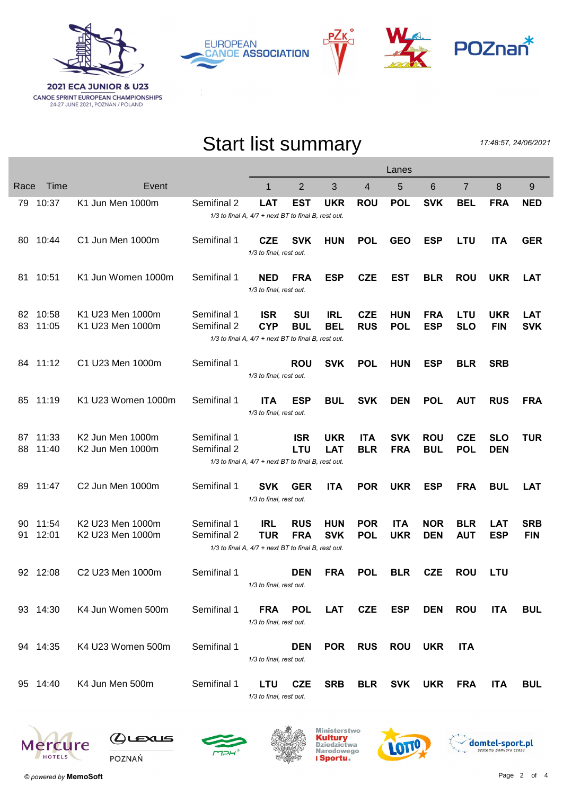





## Start list summary

17:48:57, 24/06/2021

|           |                |                                      |                            | Lanes                                                                           |                          |                          |                          |                          |                          |                          |                          |                          |
|-----------|----------------|--------------------------------------|----------------------------|---------------------------------------------------------------------------------|--------------------------|--------------------------|--------------------------|--------------------------|--------------------------|--------------------------|--------------------------|--------------------------|
| Race      | Time           | Event                                |                            | 1                                                                               | $\overline{2}$           | 3                        | $\overline{4}$           | 5                        | 6                        | $\overline{7}$           | 8                        | 9                        |
|           | 79 10:37       | K1 Jun Men 1000m                     | Semifinal 2                | <b>LAT</b><br>1/3 to final A, 4/7 + next BT to final B, rest out.               | EST                      | <b>UKR</b>               | <b>ROU</b>               | <b>POL</b>               | <b>SVK</b>               | <b>BEL</b>               | <b>FRA</b>               | <b>NED</b>               |
| 80        | 10:44          | C1 Jun Men 1000m                     | Semifinal 1                | <b>CZE</b><br>1/3 to final, rest out.                                           | <b>SVK</b>               | <b>HUN</b>               | <b>POL</b>               | <b>GEO</b>               | <b>ESP</b>               | <b>LTU</b>               | <b>ITA</b>               | <b>GER</b>               |
| 81        | 10:51          | K1 Jun Women 1000m                   | Semifinal 1                | <b>NED</b><br>1/3 to final, rest out.                                           | <b>FRA</b>               | <b>ESP</b>               | <b>CZE</b>               | <b>EST</b>               | <b>BLR</b>               | <b>ROU</b>               | <b>UKR</b>               | <b>LAT</b>               |
| 82.<br>83 | 10:58<br>11:05 | K1 U23 Men 1000m<br>K1 U23 Men 1000m | Semifinal 1<br>Semifinal 2 | <b>ISR</b><br><b>CYP</b><br>1/3 to final A, 4/7 + next BT to final B, rest out. | <b>SUI</b><br><b>BUL</b> | IRL<br><b>BEL</b>        | <b>CZE</b><br><b>RUS</b> | <b>HUN</b><br><b>POL</b> | <b>FRA</b><br><b>ESP</b> | <b>LTU</b><br><b>SLO</b> | <b>UKR</b><br><b>FIN</b> | <b>LAT</b><br><b>SVK</b> |
|           | 84 11:12       | C1 U23 Men 1000m                     | Semifinal 1                | 1/3 to final, rest out.                                                         | <b>ROU</b>               | <b>SVK</b>               | <b>POL</b>               | <b>HUN</b>               | <b>ESP</b>               | <b>BLR</b>               | <b>SRB</b>               |                          |
|           | 85 11:19       | K1 U23 Women 1000m                   | Semifinal 1                | <b>ITA</b><br>1/3 to final, rest out.                                           | <b>ESP</b>               | <b>BUL</b>               | <b>SVK</b>               | <b>DEN</b>               | <b>POL</b>               | <b>AUT</b>               | <b>RUS</b>               | <b>FRA</b>               |
| 87<br>88  | 11:33<br>11:40 | K2 Jun Men 1000m<br>K2 Jun Men 1000m | Semifinal 1<br>Semifinal 2 | 1/3 to final A, 4/7 + next BT to final B, rest out.                             | <b>ISR</b><br><b>LTU</b> | <b>UKR</b><br><b>LAT</b> | <b>ITA</b><br><b>BLR</b> | <b>SVK</b><br><b>FRA</b> | <b>ROU</b><br><b>BUL</b> | <b>CZE</b><br><b>POL</b> | <b>SLO</b><br><b>DEN</b> | <b>TUR</b>               |
| 89.       | 11:47          | C2 Jun Men 1000m                     | Semifinal 1                | <b>SVK</b><br>1/3 to final, rest out.                                           | <b>GER</b>               | <b>ITA</b>               | <b>POR</b>               | <b>UKR</b>               | <b>ESP</b>               | <b>FRA</b>               | <b>BUL</b>               | LAT                      |
| 90<br>91  | 11:54<br>12:01 | K2 U23 Men 1000m<br>K2 U23 Men 1000m | Semifinal 1<br>Semifinal 2 | <b>IRL</b><br><b>TUR</b><br>1/3 to final A, 4/7 + next BT to final B, rest out. | <b>RUS</b><br><b>FRA</b> | <b>HUN</b><br><b>SVK</b> | <b>POR</b><br><b>POL</b> | <b>ITA</b><br><b>UKR</b> | <b>NOR</b><br><b>DEN</b> | <b>BLR</b><br><b>AUT</b> | <b>LAT</b><br><b>ESP</b> | <b>SRB</b><br><b>FIN</b> |
|           | 92 12:08       | C2 U23 Men 1000m                     | Semifinal 1                | 1/3 to final, rest out.                                                         | <b>DEN</b>               | <b>FRA</b>               | <b>POL</b>               | <b>BLR</b>               | <b>CZE</b>               | <b>ROU</b>               | <b>LTU</b>               |                          |
|           | 93 14:30       | K4 Jun Women 500m                    | Semifinal 1                | <b>FRA</b><br>1/3 to final, rest out.                                           | <b>POL</b>               | <b>LAT</b>               | <b>CZE</b>               | <b>ESP</b>               | <b>DEN</b>               | <b>ROU</b>               | <b>ITA</b>               | <b>BUL</b>               |
|           | 94 14:35       | K4 U23 Women 500m                    | Semifinal 1                | 1/3 to final, rest out.                                                         | <b>DEN</b>               | <b>POR</b>               | <b>RUS</b>               | <b>ROU</b>               | <b>UKR</b>               | <b>ITA</b>               |                          |                          |
|           | 95 14:40       | K4 Jun Men 500m                      | Semifinal 1                | <b>LTU</b><br>1/3 to final, rest out.                                           | <b>CZE</b>               | <b>SRB</b>               | <b>BLR</b>               | <b>SVK</b>               | <b>UKR</b>               | <b>FRA</b>               | <b>ITA</b>               | <b>BUL</b>               |











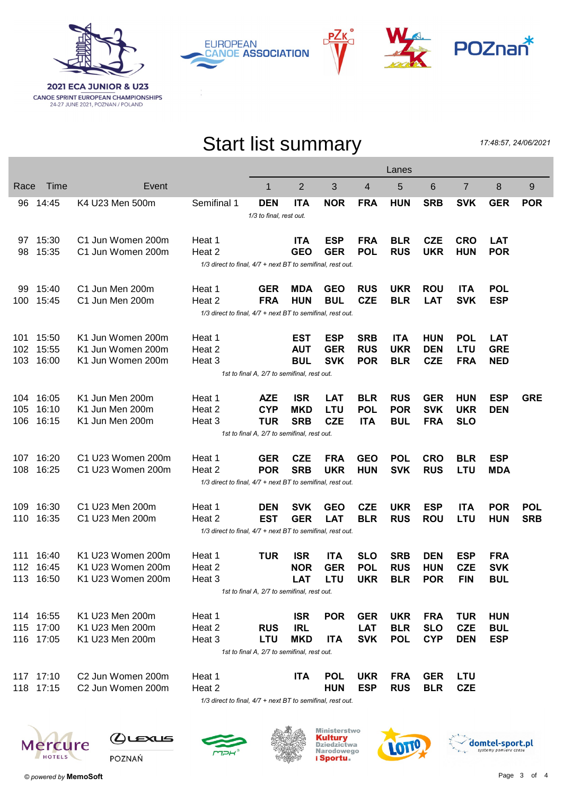

**EUROPEAN CANOE ASSOCIATION** 



## Start list summary

РΖк

17:48:57, 24/06/2021

|                                                            |                                                            |           |                               |                                                            |                                             |                | Lanes      |                |            |            |                |            |            |
|------------------------------------------------------------|------------------------------------------------------------|-----------|-------------------------------|------------------------------------------------------------|---------------------------------------------|----------------|------------|----------------|------------|------------|----------------|------------|------------|
|                                                            | Race                                                       | Time      | Event                         |                                                            | 1                                           | $\overline{2}$ | 3          | $\overline{4}$ | 5          | 6          | $\overline{7}$ | 8          | 9          |
|                                                            | 96                                                         | 14:45     | K4 U23 Men 500m               | Semifinal 1                                                | <b>DEN</b>                                  | <b>ITA</b>     | <b>NOR</b> | <b>FRA</b>     | <b>HUN</b> | <b>SRB</b> | <b>SVK</b>     | <b>GER</b> | <b>POR</b> |
|                                                            | 1/3 to final, rest out.                                    |           |                               |                                                            |                                             |                |            |                |            |            |                |            |            |
|                                                            |                                                            | 97 15:30  | C1 Jun Women 200m             | Heat 1                                                     |                                             | <b>ITA</b>     | <b>ESP</b> | <b>FRA</b>     | <b>BLR</b> | <b>CZE</b> | <b>CRO</b>     | <b>LAT</b> |            |
|                                                            | 98                                                         | 15:35     | C1 Jun Women 200m             | Heat 2                                                     |                                             | <b>GEO</b>     | <b>GER</b> | <b>POL</b>     | <b>RUS</b> | <b>UKR</b> | <b>HUN</b>     | <b>POR</b> |            |
|                                                            |                                                            |           |                               | 1/3 direct to final, 4/7 + next BT to semifinal, rest out. |                                             |                |            |                |            |            |                |            |            |
|                                                            | 99                                                         | 15:40     | C1 Jun Men 200m               | Heat 1                                                     | <b>GER</b>                                  | <b>MDA</b>     | <b>GEO</b> | <b>RUS</b>     | <b>UKR</b> | <b>ROU</b> | <b>ITA</b>     | <b>POL</b> |            |
|                                                            |                                                            | 100 15:45 | C1 Jun Men 200m               | Heat 2                                                     | <b>FRA</b>                                  | <b>HUN</b>     | <b>BUL</b> | <b>CZE</b>     | <b>BLR</b> | <b>LAT</b> | <b>SVK</b>     | <b>ESP</b> |            |
| 1/3 direct to final, 4/7 + next BT to semifinal, rest out. |                                                            |           |                               |                                                            |                                             |                |            |                |            |            |                |            |            |
|                                                            | 101.                                                       | 15:50     | K1 Jun Women 200m             | Heat 1                                                     |                                             | <b>EST</b>     | <b>ESP</b> | <b>SRB</b>     | <b>ITA</b> | <b>HUN</b> | <b>POL</b>     | <b>LAT</b> |            |
|                                                            | 102                                                        | 15:55     | K1 Jun Women 200m             | Heat 2                                                     |                                             | <b>AUT</b>     | <b>GER</b> | <b>RUS</b>     | <b>UKR</b> | <b>DEN</b> | LTU            | <b>GRE</b> |            |
|                                                            | 103                                                        | 16:00     | K1 Jun Women 200m             | Heat 3                                                     |                                             | <b>BUL</b>     | <b>SVK</b> | <b>POR</b>     | <b>BLR</b> | <b>CZE</b> | <b>FRA</b>     | <b>NED</b> |            |
| 1st to final A, 2/7 to semifinal, rest out.                |                                                            |           |                               |                                                            |                                             |                |            |                |            |            |                |            |            |
|                                                            |                                                            | 104 16:05 | K1 Jun Men 200m               | Heat 1                                                     | <b>AZE</b>                                  | <b>ISR</b>     | <b>LAT</b> | <b>BLR</b>     | <b>RUS</b> | <b>GER</b> | <b>HUN</b>     | <b>ESP</b> | <b>GRE</b> |
|                                                            | 105                                                        | 16:10     | K1 Jun Men 200m               | Heat 2                                                     | <b>CYP</b>                                  | <b>MKD</b>     | <b>LTU</b> | <b>POL</b>     | <b>POR</b> | <b>SVK</b> | <b>UKR</b>     | <b>DEN</b> |            |
|                                                            | 106                                                        | 16:15     | K1 Jun Men 200m               | Heat 3                                                     | <b>TUR</b>                                  | <b>SRB</b>     | <b>CZE</b> | <b>ITA</b>     | <b>BUL</b> | <b>FRA</b> | <b>SLO</b>     |            |            |
|                                                            |                                                            |           |                               |                                                            | 1st to final A, 2/7 to semifinal, rest out. |                |            |                |            |            |                |            |            |
|                                                            | 107                                                        | 16:20     | C1 U23 Women 200m             | Heat 1                                                     | <b>GER</b>                                  | <b>CZE</b>     | <b>FRA</b> | <b>GEO</b>     | <b>POL</b> | <b>CRO</b> | <b>BLR</b>     | <b>ESP</b> |            |
|                                                            | 108                                                        | 16:25     | C1 U23 Women 200m             | Heat 2                                                     | <b>POR</b>                                  | <b>SRB</b>     | <b>UKR</b> | <b>HUN</b>     | <b>SVK</b> | <b>RUS</b> | LTU            | <b>MDA</b> |            |
|                                                            |                                                            |           |                               | 1/3 direct to final, 4/7 + next BT to semifinal, rest out. |                                             |                |            |                |            |            |                |            |            |
|                                                            |                                                            | 109 16:30 | C1 U23 Men 200m               | Heat 1                                                     | <b>DEN</b>                                  | <b>SVK</b>     | <b>GEO</b> | <b>CZE</b>     | <b>UKR</b> | <b>ESP</b> | <b>ITA</b>     | <b>POR</b> | <b>POL</b> |
|                                                            |                                                            | 110 16:35 | C1 U23 Men 200m               | Heat 2                                                     | EST                                         | <b>GER</b>     | <b>LAT</b> | <b>BLR</b>     | <b>RUS</b> | <b>ROU</b> | LTU            | <b>HUN</b> | <b>SRB</b> |
|                                                            |                                                            |           |                               | 1/3 direct to final, 4/7 + next BT to semifinal, rest out. |                                             |                |            |                |            |            |                |            |            |
|                                                            | 111                                                        | 16:40     | K1 U23 Women 200m             | Heat 1                                                     | <b>TUR</b>                                  | <b>ISR</b>     | <b>ITA</b> | <b>SLO</b>     | <b>SRB</b> | <b>DEN</b> | <b>ESP</b>     | <b>FRA</b> |            |
|                                                            |                                                            | 112 16:45 | K1 U23 Women 200m             | Heat 2                                                     |                                             | <b>NOR</b>     | <b>GER</b> | <b>POL</b>     | <b>RUS</b> | <b>HUN</b> | <b>CZE</b>     | <b>SVK</b> |            |
|                                                            |                                                            | 113 16:50 | K1 U23 Women 200m             | Heat 3                                                     |                                             | <b>LAT</b>     | <b>LTU</b> | <b>UKR</b>     | <b>BLR</b> | <b>POR</b> | <b>FIN</b>     | <b>BUL</b> |            |
| 1st to final A, 2/7 to semifinal, rest out.                |                                                            |           |                               |                                                            |                                             |                |            |                |            |            |                |            |            |
|                                                            |                                                            | 114 16:55 | K1 U23 Men 200m               | Heat 1                                                     |                                             | <b>ISR</b>     | <b>POR</b> | <b>GER</b>     | <b>UKR</b> | <b>FRA</b> | <b>TUR</b>     | <b>HUN</b> |            |
|                                                            | 115                                                        | 17:00     | K1 U23 Men 200m               | Heat 2                                                     | <b>RUS</b>                                  | <b>IRL</b>     |            | <b>LAT</b>     | <b>BLR</b> | <b>SLO</b> | <b>CZE</b>     | <b>BUL</b> |            |
|                                                            |                                                            | 116 17:05 | K1 U23 Men 200m               | Heat 3                                                     | <b>LTU</b>                                  | <b>MKD</b>     | <b>ITA</b> | <b>SVK</b>     | <b>POL</b> | <b>CYP</b> | <b>DEN</b>     | <b>ESP</b> |            |
|                                                            |                                                            |           |                               |                                                            | 1st to final A, 2/7 to semifinal, rest out. |                |            |                |            |            |                |            |            |
|                                                            |                                                            | 117 17:10 | C <sub>2</sub> Jun Women 200m | Heat 1                                                     |                                             | <b>ITA</b>     | <b>POL</b> | <b>UKR</b>     | <b>FRA</b> | <b>GER</b> | LTU            |            |            |
|                                                            |                                                            | 118 17:15 | C <sub>2</sub> Jun Women 200m | Heat 2                                                     |                                             |                | <b>HUN</b> | <b>ESP</b>     | <b>RUS</b> | <b>BLR</b> | <b>CZE</b>     |            |            |
|                                                            | 1/3 direct to final, 4/7 + next BT to semifinal, rest out. |           |                               |                                                            |                                             |                |            |                |            |            |                |            |            |